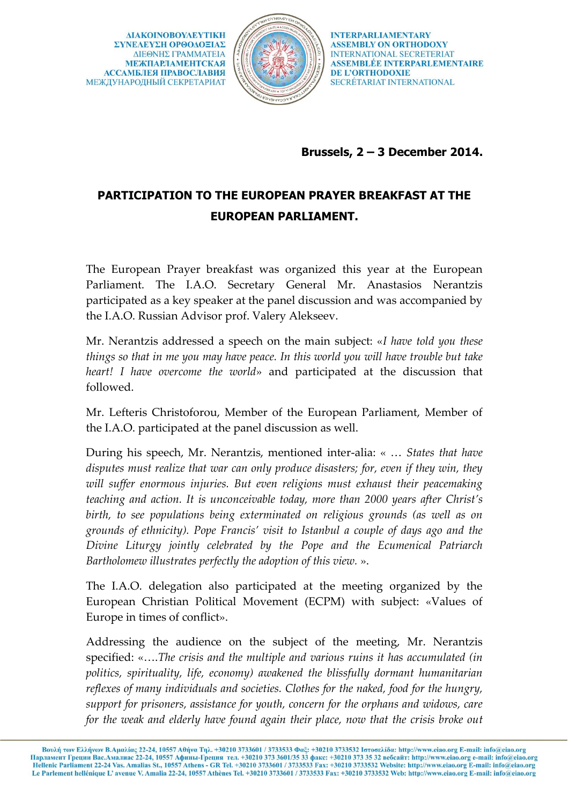**AIAKOINOBOYAEYTIKH** ΣΥΝΕΛΕΥΣΗ ΟΡΘΟΔΟΞΙΑΣ ΔΙΕΘΝΗΣ ΓΡΑΜΜΑΤΕΙΑ **МЕЖПАРЛАМЕНТСКАЯ АССАМБЛЕЯ ПРАВОСЛАВИЯ** МЕЖДУНАРОДНЫЙ СЕКРЕТАРИАТ



**INTERPARLIAMENTARY ASSEMBLY ON ORTHODOXY INTERNATIONAL SECRETERIAT ASSEMBLÉE INTERPARLEMENTAIRE DE L'ORTHODOXIE** SECRÉTARIAT INTERNATIONAL

## **Brussels, 2 – 3 December 2014.**

## **PARTICIPATION TO THE EUROPEAN PRAYER BREAKFAST AT THE EUROPEAN PARLIAMENT.**

The European Prayer breakfast was organized this year at the European Parliament. The I.A.O. Secretary General Mr. Anastasios Nerantzis participated as a key speaker at the panel discussion and was accompanied by the I.A.O. Russian Advisor prof. Valery Alekseev.

Mr. Nerantzis addressed a speech on the main subject: «*I have told you these things so that in me you may have peace. In this world you will have trouble but take heart! I have overcome the world*» and participated at the discussion that followed.

Mr. Lefteris Christoforou, Member of the European Parliament, Member of the I.A.O. participated at the panel discussion as well.

During his speech, Mr. Nerantzis, mentioned inter-alia: « … *States that have disputes must realize that war can only produce disasters; for, even if they win, they will suffer enormous injuries. But even religions must exhaust their peacemaking teaching and action. It is unconceivable today, more than 2000 years after Christ's birth, to see populations being exterminated on religious grounds (as well as on grounds of ethnicity). Pope Francis' visit to Istanbul a couple of days ago and the Divine Liturgy jointly celebrated by the Pope and the Ecumenical Patriarch Bartholomew illustrates perfectly the adoption of this view.* ».

The I.A.O. delegation also participated at the meeting organized by the European Christian Political Movement (ECPM) with subject: «Values of Europe in times of conflict».

Addressing the audience on the subject of the meeting, Mr. Nerantzis specified: «….*The crisis and the multiple and various ruins it has accumulated (in politics, spirituality, life, economy) awakened the blissfully dormant humanitarian reflexes of many individuals and societies. Clothes for the naked, food for the hungry, support for prisoners, assistance for youth, concern for the orphans and widows, care for the weak and elderly have found again their place, now that the crisis broke out*